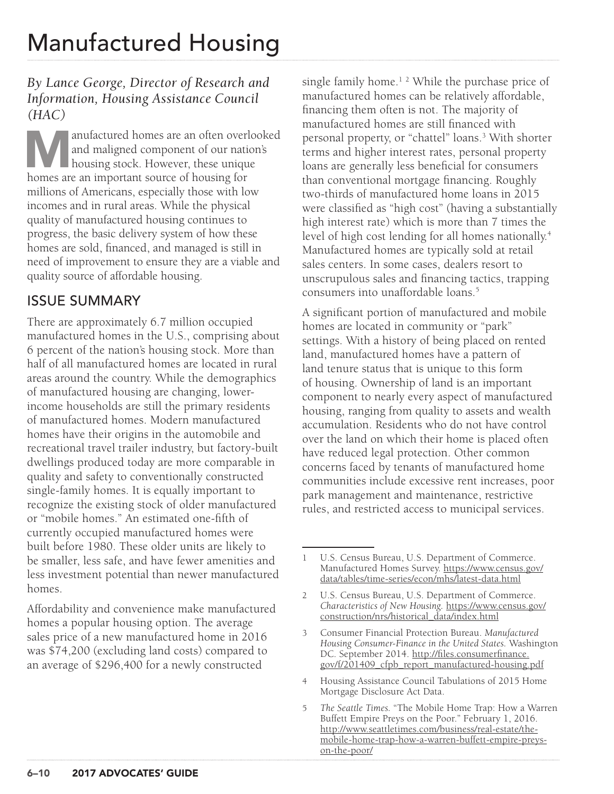### *By Lance George, Director of Research and Information, Housing Assistance Council (HAC)*

anufactured homes are an often overlooked and maligned component of our nation's housing stock. However, these unique homes are an important source of housing for and maligned component of our nation's **housing stock.** However, these unique millions of Americans, especially those with low incomes and in rural areas. While the physical quality of manufactured housing continues to progress, the basic delivery system of how these homes are sold, financed, and managed is still in need of improvement to ensure they are a viable and quality source of affordable housing.

## ISSUE SUMMARY

There are approximately 6.7 million occupied manufactured homes in the U.S., comprising about 6 percent of the nation's housing stock. More than half of all manufactured homes are located in rural areas around the country. While the demographics of manufactured housing are changing, lowerincome households are still the primary residents of manufactured homes. Modern manufactured homes have their origins in the automobile and recreational travel trailer industry, but factory-built dwellings produced today are more comparable in quality and safety to conventionally constructed single-family homes. It is equally important to recognize the existing stock of older manufactured or "mobile homes." An estimated one-fifth of currently occupied manufactured homes were built before 1980. These older units are likely to be smaller, less safe, and have fewer amenities and less investment potential than newer manufactured homes.

Affordability and convenience make manufactured homes a popular housing option. The average sales price of a new manufactured home in 2016 was \$74,200 (excluding land costs) compared to an average of \$296,400 for a newly constructed

single family home.<sup>12</sup> While the purchase price of manufactured homes can be relatively affordable, financing them often is not. The majority of manufactured homes are still financed with personal property, or "chattel" loans.3 With shorter terms and higher interest rates, personal property loans are generally less beneficial for consumers than conventional mortgage financing. Roughly two-thirds of manufactured home loans in 2015 were classified as "high cost" (having a substantially high interest rate) which is more than 7 times the level of high cost lending for all homes nationally.<sup>4</sup> Manufactured homes are typically sold at retail sales centers. In some cases, dealers resort to unscrupulous sales and financing tactics, trapping consumers into unaffordable loans.5

A significant portion of manufactured and mobile homes are located in community or "park" settings. With a history of being placed on rented land, manufactured homes have a pattern of land tenure status that is unique to this form of housing. Ownership of land is an important component to nearly every aspect of manufactured housing, ranging from quality to assets and wealth accumulation. Residents who do not have control over the land on which their home is placed often have reduced legal protection. Other common concerns faced by tenants of manufactured home communities include excessive rent increases, poor park management and maintenance, restrictive rules, and restricted access to municipal services.

<sup>1</sup> U.S. Census Bureau, U.S. Department of Commerce. Manufactured Homes Survey. [https://www.census.gov/](https://www.census.gov/data/tables/time-series/econ/mhs/latest-data.html) [data/tables/time-series/econ/mhs/latest-data.html](https://www.census.gov/data/tables/time-series/econ/mhs/latest-data.html)

<sup>2</sup> U.S. Census Bureau, U.S. Department of Commerce. *Characteristics of New Housing.* [https://www.census.gov/](https://www.census.gov/construction/nrs/historical_data/index.html) [construction/nrs/historical\\_data/index.html](https://www.census.gov/construction/nrs/historical_data/index.html)

<sup>3</sup> Consumer Financial Protection Bureau. *Manufactured Housing Consumer-Finance in the United States.* Washington DC. September 2014. [http://files.consumerfinance.](http://files.consumerfinance.gov/f/201409_cfpb_report_manufactured-housing.pdf) [gov/f/201409\\_cfpb\\_report\\_manufactured-housing.pdf](http://files.consumerfinance.gov/f/201409_cfpb_report_manufactured-housing.pdf)

<sup>4</sup> Housing Assistance Council Tabulations of 2015 Home Mortgage Disclosure Act Data.

<sup>5</sup> *The Seattle Times.* "The Mobile Home Trap: How a Warren Buffett Empire Preys on the Poor." February 1, 2016. [http://www.seattletimes.com/business/real-estate/the](http://www.seattletimes.com/business/real-estate/the-mobile-home-trap-how-a-warren-buffett-empire-preys-on-the-poor/)[mobile-home-trap-how-a-warren-buffett-empire-preys](http://www.seattletimes.com/business/real-estate/the-mobile-home-trap-how-a-warren-buffett-empire-preys-on-the-poor/)[on-the-poor/](http://www.seattletimes.com/business/real-estate/the-mobile-home-trap-how-a-warren-buffett-empire-preys-on-the-poor/)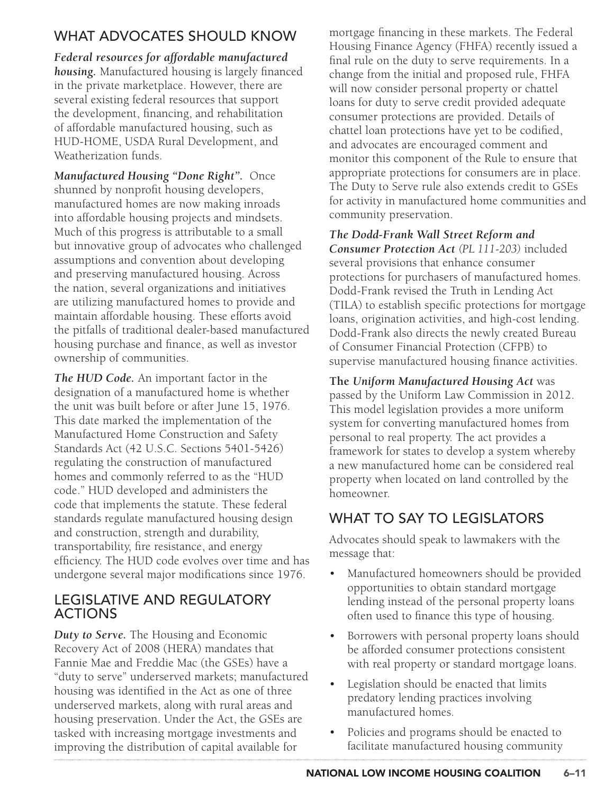# WHAT ADVOCATES SHOULD KNOW

*Federal resources for affordable manufactured housing.* Manufactured housing is largely financed in the private marketplace. However, there are several existing federal resources that support the development, financing, and rehabilitation of affordable manufactured housing, such as HUD-HOME, USDA Rural Development, and Weatherization funds.

*Manufactured Housing "Done Right".* Once shunned by nonprofit housing developers, manufactured homes are now making inroads into affordable housing projects and mindsets. Much of this progress is attributable to a small but innovative group of advocates who challenged assumptions and convention about developing and preserving manufactured housing. Across the nation, several organizations and initiatives are utilizing manufactured homes to provide and maintain affordable housing. These efforts avoid the pitfalls of traditional dealer-based manufactured housing purchase and finance, as well as investor ownership of communities.

*The HUD Code.* An important factor in the designation of a manufactured home is whether the unit was built before or after June 15, 1976. This date marked the implementation of the Manufactured Home Construction and Safety Standards Act (42 U.S.C. Sections 5401-5426) regulating the construction of manufactured homes and commonly referred to as the "HUD code." HUD developed and administers the code that implements the statute. These federal standards regulate manufactured housing design and construction, strength and durability, transportability, fire resistance, and energy efficiency. The HUD code evolves over time and has undergone several major modifications since 1976.

#### LEGISLATIVE AND REGULATORY ACTIONS

*Duty to Serve.* The Housing and Economic Recovery Act of 2008 (HERA) mandates that Fannie Mae and Freddie Mac (the GSEs) have a "duty to serve" underserved markets; manufactured housing was identified in the Act as one of three underserved markets, along with rural areas and housing preservation. Under the Act, the GSEs are tasked with increasing mortgage investments and improving the distribution of capital available for

mortgage financing in these markets. The Federal Housing Finance Agency (FHFA) recently issued a final rule on the duty to serve requirements. In a change from the initial and proposed rule, FHFA will now consider personal property or chattel loans for duty to serve credit provided adequate consumer protections are provided. Details of chattel loan protections have yet to be codified, and advocates are encouraged comment and monitor this component of the Rule to ensure that appropriate protections for consumers are in place. The Duty to Serve rule also extends credit to GSEs for activity in manufactured home communities and community preservation.

*The Dodd-Frank Wall Street Reform and Consumer Protection Act (PL 111-203)* included several provisions that enhance consumer protections for purchasers of manufactured homes. Dodd-Frank revised the Truth in Lending Act (TILA) to establish specific protections for mortgage loans, origination activities, and high-cost lending. Dodd-Frank also directs the newly created Bureau of Consumer Financial Protection (CFPB) to supervise manufactured housing finance activities.

**The** *Uniform Manufactured Housing Act* was passed by the Uniform Law Commission in 2012. This model legislation provides a more uniform system for converting manufactured homes from personal to real property. The act provides a framework for states to develop a system whereby a new manufactured home can be considered real property when located on land controlled by the homeowner.

## WHAT TO SAY TO LEGISLATORS

Advocates should speak to lawmakers with the message that:

- Manufactured homeowners should be provided opportunities to obtain standard mortgage lending instead of the personal property loans often used to finance this type of housing.
- Borrowers with personal property loans should be afforded consumer protections consistent with real property or standard mortgage loans.
- Legislation should be enacted that limits predatory lending practices involving manufactured homes.
- Policies and programs should be enacted to facilitate manufactured housing community